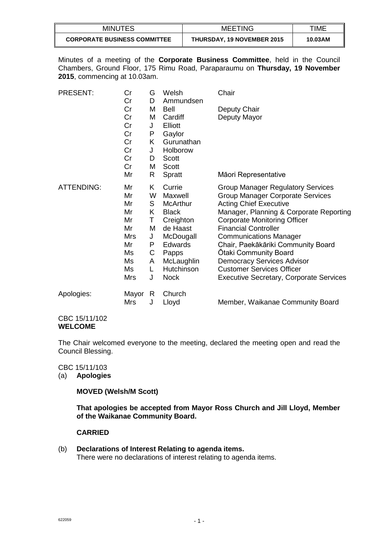| <b>MINUTES</b>                      | <b>MEETING</b>                    | TIME    |
|-------------------------------------|-----------------------------------|---------|
| <b>CORPORATE BUSINESS COMMITTEE</b> | <b>THURSDAY, 19 NOVEMBER 2015</b> | 10.03AM |

Minutes of a meeting of the **Corporate Business Committee**, held in the Council Chambers, Ground Floor, 175 Rimu Road, Paraparaumu on **Thursday, 19 November 2015**, commencing at 10.03am.

| PRESENT:          | Cr<br>Cr   | G<br>D | Welsh<br>Ammundsen | Chair                                          |
|-------------------|------------|--------|--------------------|------------------------------------------------|
|                   | Cr         | M      | Bell               | Deputy Chair                                   |
|                   | Cr         | M      | Cardiff            | Deputy Mayor                                   |
|                   | Cr         | J      | Elliott            |                                                |
|                   | Cr         | P      | Gaylor             |                                                |
|                   | Cr         | K      | Gurunathan         |                                                |
|                   | Cr         |        | Holborow           |                                                |
|                   | Cr         | J      |                    |                                                |
|                   |            | D      | <b>Scott</b>       |                                                |
|                   | Cr         | M      | Scott              |                                                |
|                   | Mr         | R      | Spratt             | Māori Representative                           |
| <b>ATTENDING:</b> | Mr         | Κ      | Currie             | <b>Group Manager Regulatory Services</b>       |
|                   | Mr         | W      | Maxwell            | Group Manager Corporate Services               |
|                   | Mr         | S      | <b>McArthur</b>    | <b>Acting Chief Executive</b>                  |
|                   | Mr         | Κ      | <b>Black</b>       | Manager, Planning & Corporate Reporting        |
|                   | Mr         | Τ      | Creighton          | <b>Corporate Monitoring Officer</b>            |
|                   | Mr         | M      | de Haast           | <b>Financial Controller</b>                    |
|                   | <b>Mrs</b> | J      | McDougall          | <b>Communications Manager</b>                  |
|                   | Mr         | P      | Edwards            | Chair, Paekākāriki Community Board             |
|                   | Ms         | C      | Papps              | Otaki Community Board                          |
|                   | Ms         | A      | McLaughlin         | <b>Democracy Services Advisor</b>              |
|                   | Ms         | L      | Hutchinson         | <b>Customer Services Officer</b>               |
|                   | <b>Mrs</b> | J      | <b>Nock</b>        | <b>Executive Secretary, Corporate Services</b> |
| Apologies:        | Mayor      | R      | Church             |                                                |
|                   | Mrs        | J      | Lloyd              | Member, Waikanae Community Board               |

CBC 15/11/102 **WELCOME**

The Chair welcomed everyone to the meeting, declared the meeting open and read the Council Blessing.

CBC 15/11/103

(a) **Apologies**

**MOVED (Welsh/M Scott)**

**That apologies be accepted from Mayor Ross Church and Jill Lloyd, Member of the Waikanae Community Board.**

#### **CARRIED**

(b) **Declarations of Interest Relating to agenda items.** There were no declarations of interest relating to agenda items.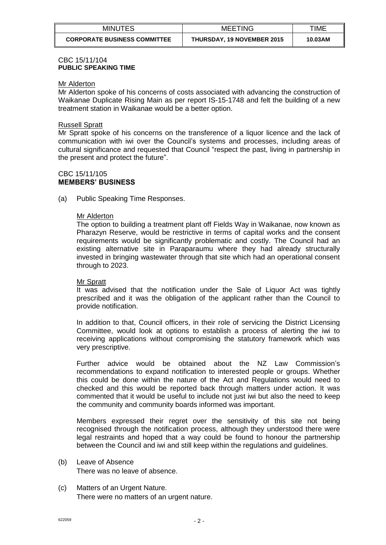| <b>MINUTES</b>                      | <b>MEETING</b>                    | TIME    |
|-------------------------------------|-----------------------------------|---------|
| <b>CORPORATE BUSINESS COMMITTEE</b> | <b>THURSDAY, 19 NOVEMBER 2015</b> | 10.03AM |

### CBC 15/11/104 **PUBLIC SPEAKING TIME**

#### Mr Alderton

Mr Alderton spoke of his concerns of costs associated with advancing the construction of Waikanae Duplicate Rising Main as per report IS-15-1748 and felt the building of a new treatment station in Waikanae would be a better option.

#### Russell Spratt

Mr Spratt spoke of his concerns on the transference of a liquor licence and the lack of communication with iwi over the Council's systems and processes, including areas of cultural significance and requested that Council "respect the past, living in partnership in the present and protect the future".

### CBC 15/11/105 **MEMBERS' BUSINESS**

(a) Public Speaking Time Responses.

## Mr Alderton

The option to building a treatment plant off Fields Way in Waikanae, now known as Pharazyn Reserve, would be restrictive in terms of capital works and the consent requirements would be significantly problematic and costly. The Council had an existing alternative site in Paraparaumu where they had already structurally invested in bringing wastewater through that site which had an operational consent through to 2023.

#### **Mr Spratt**

It was advised that the notification under the Sale of Liquor Act was tightly prescribed and it was the obligation of the applicant rather than the Council to provide notification.

In addition to that, Council officers, in their role of servicing the District Licensing Committee, would look at options to establish a process of alerting the iwi to receiving applications without compromising the statutory framework which was very prescriptive.

Further advice would be obtained about the NZ Law Commission's recommendations to expand notification to interested people or groups. Whether this could be done within the nature of the Act and Regulations would need to checked and this would be reported back through matters under action. It was commented that it would be useful to include not just iwi but also the need to keep the community and community boards informed was important.

Members expressed their regret over the sensitivity of this site not being recognised through the notification process, although they understood there were legal restraints and hoped that a way could be found to honour the partnership between the Council and iwi and still keep within the regulations and guidelines.

- (b) Leave of Absence There was no leave of absence.
- (c) Matters of an Urgent Nature. There were no matters of an urgent nature.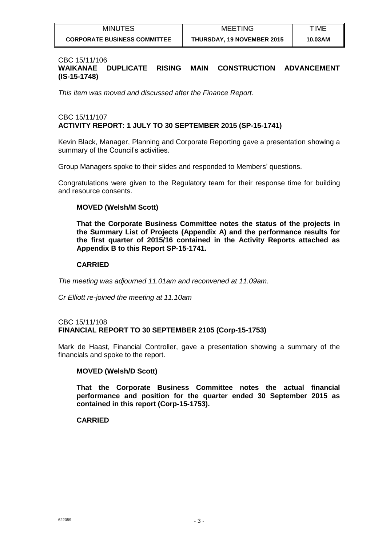| <b>MINUTES</b>                      | <b>MEETING</b>                    | TIME    |
|-------------------------------------|-----------------------------------|---------|
| <b>CORPORATE BUSINESS COMMITTEE</b> | <b>THURSDAY, 19 NOVEMBER 2015</b> | 10.03AM |

#### CBC 15/11/106

# **WAIKANAE DUPLICATE RISING MAIN CONSTRUCTION ADVANCEMENT (IS-15-1748)**

*This item was moved and discussed after the Finance Report.*

## CBC 15/11/107 **ACTIVITY REPORT: 1 JULY TO 30 SEPTEMBER 2015 (SP-15-1741)**

Kevin Black, Manager, Planning and Corporate Reporting gave a presentation showing a summary of the Council's activities.

Group Managers spoke to their slides and responded to Members' questions.

Congratulations were given to the Regulatory team for their response time for building and resource consents.

#### **MOVED (Welsh/M Scott)**

**That the Corporate Business Committee notes the status of the projects in the Summary List of Projects (Appendix A) and the performance results for the first quarter of 2015/16 contained in the Activity Reports attached as Appendix B to this Report SP-15-1741.**

## **CARRIED**

*The meeting was adjourned 11.01am and reconvened at 11.09am.*

*Cr Elliott re-joined the meeting at 11.10am*

#### CBC 15/11/108 **FINANCIAL REPORT TO 30 SEPTEMBER 2105 (Corp-15-1753)**

Mark de Haast, Financial Controller, gave a presentation showing a summary of the financials and spoke to the report.

#### **MOVED (Welsh/D Scott)**

**That the Corporate Business Committee notes the actual financial performance and position for the quarter ended 30 September 2015 as contained in this report (Corp-15-1753).**

#### **CARRIED**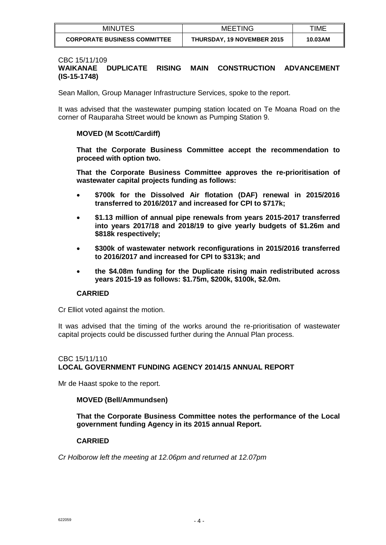| <b>MINUTES</b>                      | <b>MEETING</b>                    | TIME    |
|-------------------------------------|-----------------------------------|---------|
| <b>CORPORATE BUSINESS COMMITTEE</b> | <b>THURSDAY, 19 NOVEMBER 2015</b> | 10.03AM |

#### CBC 15/11/109

## **WAIKANAE DUPLICATE RISING MAIN CONSTRUCTION ADVANCEMENT (IS-15-1748)**

Sean Mallon, Group Manager Infrastructure Services, spoke to the report.

It was advised that the wastewater pumping station located on Te Moana Road on the corner of Rauparaha Street would be known as Pumping Station 9.

#### **MOVED (M Scott/Cardiff)**

**That the Corporate Business Committee accept the recommendation to proceed with option two.**

**That the Corporate Business Committee approves the re-prioritisation of wastewater capital projects funding as follows:**

- **\$700k for the Dissolved Air flotation (DAF) renewal in 2015/2016 transferred to 2016/2017 and increased for CPI to \$717k;**
- **\$1.13 million of annual pipe renewals from years 2015-2017 transferred into years 2017/18 and 2018/19 to give yearly budgets of \$1.26m and \$818k respectively;**
- **\$300k of wastewater network reconfigurations in 2015/2016 transferred to 2016/2017 and increased for CPI to \$313k; and**
- **the \$4.08m funding for the Duplicate rising main redistributed across years 2015-19 as follows: \$1.75m, \$200k, \$100k, \$2.0m.**

#### **CARRIED**

Cr Elliot voted against the motion.

It was advised that the timing of the works around the re-prioritisation of wastewater capital projects could be discussed further during the Annual Plan process.

## CBC 15/11/110 **LOCAL GOVERNMENT FUNDING AGENCY 2014/15 ANNUAL REPORT**

Mr de Haast spoke to the report.

#### **MOVED (Bell/Ammundsen)**

**That the Corporate Business Committee notes the performance of the Local government funding Agency in its 2015 annual Report.**

#### **CARRIED**

*Cr Holborow left the meeting at 12.06pm and returned at 12.07pm*